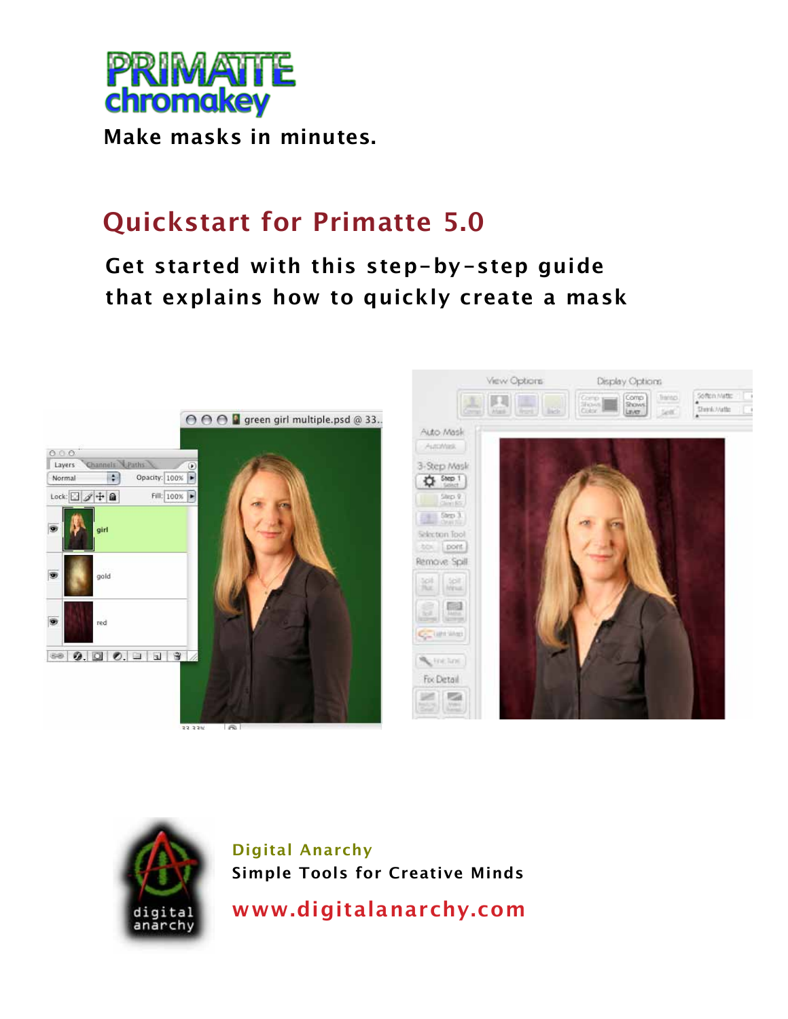

**Make masks in minutes.** 

# **Quickstart for Primatte 5.0**

# **Get started with this step-by-step guide that explains how to quickly create a mask**





**Digital Anarchy Simple Tools for Creative Minds**

**www.digitalanarchy.com**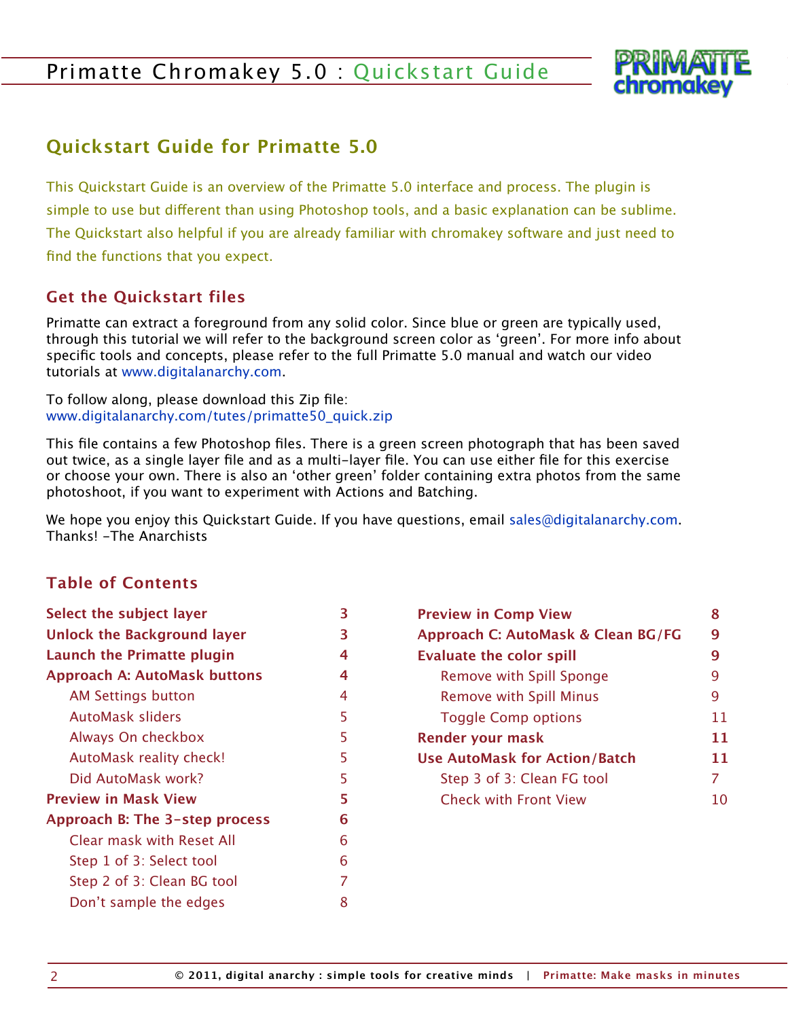

# **Quickstart Guide for Primatte 5.0**

This Quickstart Guide is an overview of the Primatte 5.0 interface and process. The plugin is simple to use but different than using Photoshop tools, and a basic explanation can be sublime. The Quickstart also helpful if you are already familiar with chromakey software and just need to find the functions that you expect.

## **Get the Quickstart files**

Primatte can extract a foreground from any solid color. Since blue or green are typically used, through this tutorial we will refer to the background screen color as 'green'. For more info about specific tools and concepts, please refer to the full Primatte 5.0 manual and watch our video tutorials at <www.digitalanarchy.com>.

To follow along, please download this Zip file: [www.digitalanarchy.com/tutes/primatte50\\_quick.zip](http://www.digitalanarchy.com/tutes/primatte50_quick.zip)

This file contains a few Photoshop files. There is a green screen photograph that has been saved out twice, as a single layer file and as a multi-layer file. You can use either file for this exercise or choose your own. There is also an 'other green' folder containing extra photos from the same photoshoot, if you want to experiment with Actions and Batching.

We hope you enjoy this Quickstart Guide. If you have questions, email sales@digitalanarchy.com. Thanks! -The Anarchists

#### **Table of Contents**

| Select the subject layer            | 3  |
|-------------------------------------|----|
| <b>Unlock the Background layer</b>  |    |
| Launch the Primatte plugin          | 4  |
| <b>Approach A: AutoMask buttons</b> | 4  |
| <b>AM Settings button</b>           | 4  |
| AutoMask sliders                    | 5  |
| Always On checkbox                  | 5  |
| AutoMask reality check!             | 5  |
| Did AutoMask work?                  | 5  |
| <b>Preview in Mask View</b>         | 5. |
| Approach B: The 3-step process      | 6  |
| <b>Clear mask with Reset All</b>    | 6  |
| Step 1 of 3: Select tool            | 6  |
| Step 2 of 3: Clean BG tool          | 7  |
| Don't sample the edges              | 8  |

| <b>Preview in Comp View</b>          | 8  |
|--------------------------------------|----|
| Approach C: AutoMask & Clean BG/FG   | 9  |
| <b>Evaluate the color spill</b>      | 9  |
| Remove with Spill Sponge             | 9  |
| <b>Remove with Spill Minus</b>       | 9  |
| <b>Toggle Comp options</b>           | 11 |
| <b>Render your mask</b>              | 11 |
| <b>Use AutoMask for Action/Batch</b> | 11 |
| Step 3 of 3: Clean FG tool           | 7  |
| <b>Check with Front View</b>         | 10 |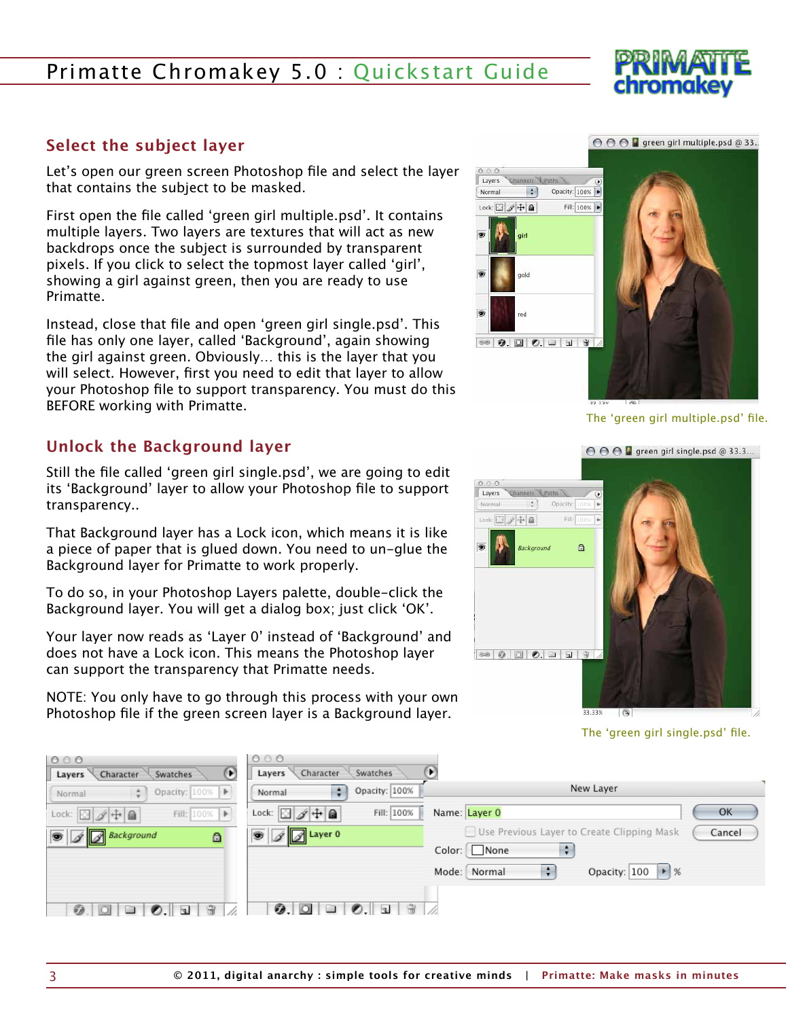#### <span id="page-2-0"></span>**Select the subject layer**

Let's open our green screen Photoshop file and select the layer that contains the subject to be masked.

First open the file called 'green girl multiple.psd'. It contains multiple layers. Two layers are textures that will act as new backdrops once the subject is surrounded by transparent pixels. If you click to select the topmost layer called 'girl', showing a girl against green, then you are ready to use Primatte.

Instead, close that file and open 'green girl single.psd'. This file has only one layer, called 'Background', again showing the girl against green. Obviously… this is the layer that you will select. However, first you need to edit that layer to allow your Photoshop file to support transparency. You must do this BEFORE working with Primatte.

## **Unlock the Background layer**

Still the file called 'green girl single.psd', we are going to edit its 'Background' layer to allow your Photoshop file to support transparency..

That Background layer has a Lock icon, which means it is like a piece of paper that is glued down. You need to un-glue the Background layer for Primatte to work properly.

To do so, in your Photoshop Layers palette, double-click the Background layer. You will get a dialog box; just click 'OK'.

Your layer now reads as 'Layer 0' instead of 'Background' and does not have a Lock icon. This means the Photoshop layer can support the transparency that Primatte needs.

NOTE: You only have to go through this process with your own Photoshop file if the green screen layer is a Background layer.



The 'green girl multiple.psd' file.



The 'green girl single.psd' file.

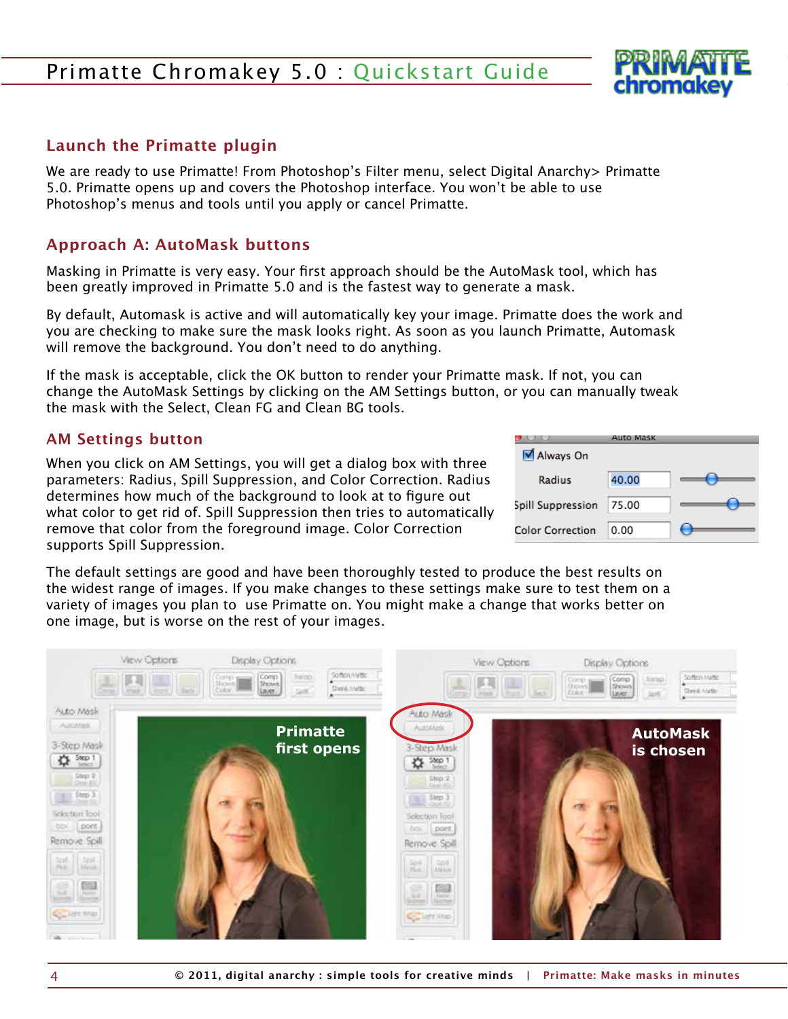#### <span id="page-3-0"></span>**Launch the Primatte plugin**

We are ready to use Primatte! From Photoshop's Filter menu, select Digital Anarchy > Primatte 5.0. Primatte opens up and covers the Photoshop interface. You won't be able to use Photoshop's menus and tools until you apply or cancel Primatte.

#### **Approach A: AutoMask buttons**

Masking in Primatte is very easy. Your first approach should be the AutoMask tool, which has been greatly improved in Primatte 5.0 and is the fastest way to generate a mask.

By default, Automask is active and will automatically key your image. Primatte does the work and you are checking to make sure the mask looks right. As soon as you launch Primatte, Automask will remove the background. You don't need to do anything.

If the mask is acceptable, click the OK button to render your Primatte mask. If not, you can change the AutoMask Settings by clicking on the AM Settings button, or you can manually tweak the mask with the Select, Clean FG and Clean BG tools.

#### **AM Settings button**

When you click on AM Settings, you will get a dialog box with three parameters: Radius, Spill Suppression, and Color Correction. Radius determines how much of the background to look at to figure out what color to get rid of. Spill Suppression then tries to automatically remove that color from the foreground image. Color Correction supports Spill Suppression.

|                         | Auto Mask |  |
|-------------------------|-----------|--|
| Always On               |           |  |
| Radius                  | 40.00     |  |
| Spill Suppression       | 75.00     |  |
| <b>Color Correction</b> | 0.00      |  |

The default settings are good and have been thoroughly tested to produce the best results on the widest range of images. If you make changes to these settings make sure to test them on a variety of images you plan to use Primatte on. You might make a change that works better on one image, but is worse on the rest of your images.

|                                                                                                                       | View Options<br>Corrigan<br><b>BRITTE</b><br>Man (met.) then<br>Color. | Display Options<br><b>baiso</b><br>Comp.<br>pot"<br>Layer | Soften Mitte<br>Shrink Matte:                   | View Options<br><b>FALL</b><br>Lives Library Back                                                     | Display Options<br>Comp<br>Shows<br>Corp.<br><b>Cokie</b><br>Leyer | Soften Mate:<br>Irang.<br>Sheed, Anader<br><b>June</b> |
|-----------------------------------------------------------------------------------------------------------------------|------------------------------------------------------------------------|-----------------------------------------------------------|-------------------------------------------------|-------------------------------------------------------------------------------------------------------|--------------------------------------------------------------------|--------------------------------------------------------|
| Auto Mask<br><b>Putchlast</b><br>3-Step Mask<br><b>Company</b><br>Step 9                                              |                                                                        | <b>Primatte</b><br>first opens                            |                                                 | Auto Mask<br><b>AutoMatk</b><br>3-Step Mask<br><b>袋 Step 1</b>                                        |                                                                    | <b>AutoMask</b><br>is chosen                           |
| $\frac{5}{2}$<br>Selection Tool<br>to:<br>  pont<br>Remove Spill                                                      |                                                                        |                                                           |                                                 | $\frac{5\text{mp }2}{\text{time }10}$<br>$5 \text{ km}$<br>Selection Tool<br>box pont<br>Remove Spill |                                                                    |                                                        |
| $\frac{205}{N_{\text{NN}}}$ $\frac{505}{N_{\text{NN}}}$<br><b>GREE</b><br>Soll.<br>Antico<br>1 Service<br>C Lightings |                                                                        |                                                           | <b>Koll</b><br>Film.<br>e<br><b>Country Mag</b> | <b>Gold</b><br><b>Mirtin</b><br>G<br>1200                                                             |                                                                    |                                                        |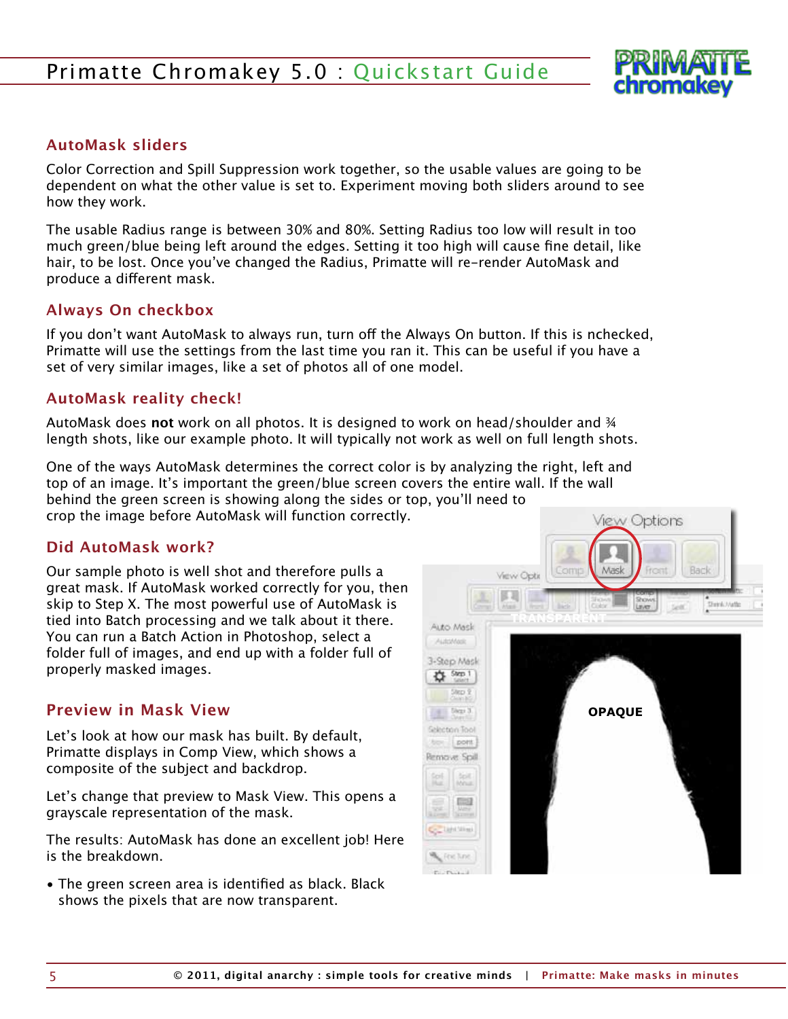

#### <span id="page-4-0"></span>**AutoMask sliders**

Color Correction and Spill Suppression work together, so the usable values are going to be dependent on what the other value is set to. Experiment moving both sliders around to see how they work.

The usable Radius range is between 30% and 80%. Setting Radius too low will result in too much green/blue being left around the edges. Setting it too high will cause fine detail, like hair, to be lost. Once you've changed the Radius, Primatte will re-render AutoMask and produce a different mask.

#### **Always On checkbox**

If you don't want AutoMask to always run, turn off the Always On button. If this is nchecked, Primatte will use the settings from the last time you ran it. This can be useful if you have a set of very similar images, like a set of photos all of one model.

#### **AutoMask reality check!**

AutoMask does **not** work on all photos. It is designed to work on head/shoulder and ¾ length shots, like our example photo. It will typically not work as well on full length shots.

One of the ways AutoMask determines the correct color is by analyzing the right, left and top of an image. It's important the green/blue screen covers the entire wall. If the wall behind the green screen is showing along the sides or top, you'll need to crop the image before AutoMask will function correctly.

#### **Did AutoMask work?**

Our sample photo is well shot and therefore pulls a great mask. If AutoMask worked correctly for you, then skip to Step X. The most powerful use of AutoMask is tied into Batch processing and we talk about it there. You can run a Batch Action in Photoshop, select a folder full of images, and end up with a folder full of properly masked images.

#### **Preview in Mask View**

Let's look at how our mask has built. By default, Primatte displays in Comp View, which shows a composite of the subject and backdrop.

Let's change that preview to Mask View. This opens a grayscale representation of the mask.

The results: AutoMask has done an excellent job! Here is the breakdown.

• The green screen area is identified as black. Black shows the pixels that are now transparent.

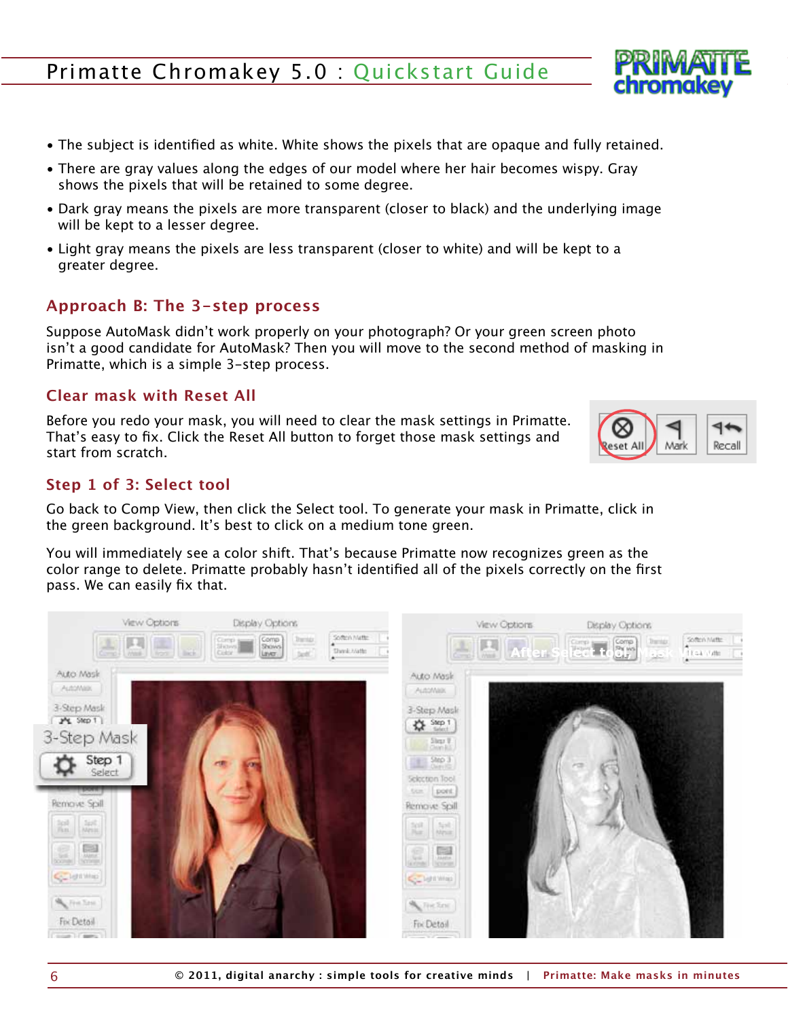- <span id="page-5-0"></span>• The subject is identified as white. White shows the pixels that are opaque and fully retained.
- There are gray values along the edges of our model where her hair becomes wispy. Gray shows the pixels that will be retained to some degree.
- Dark gray means the pixels are more transparent (closer to black) and the underlying image will be kept to a lesser degree.
- Light gray means the pixels are less transparent (closer to white) and will be kept to a greater degree.

## **Approach B: The 3-step process**

Suppose AutoMask didn't work properly on your photograph? Or your green screen photo isn't a good candidate for AutoMask? Then you will move to the second method of masking in Primatte, which is a simple 3-step process.

## **Clear mask with Reset All**

Before you redo your mask, you will need to clear the mask settings in Primatte. That's easy to fix. Click the Reset All button to forget those mask settings and start from scratch.

## **Step 1 of 3: Select tool**

Go back to Comp View, then click the Select tool. To generate your mask in Primatte, click in the green background. It's best to click on a medium tone green.

You will immediately see a color shift. That's because Primatte now recognizes green as the color range to delete. Primatte probably hasn't identified all of the pixels correctly on the first pass. We can easily fix that.





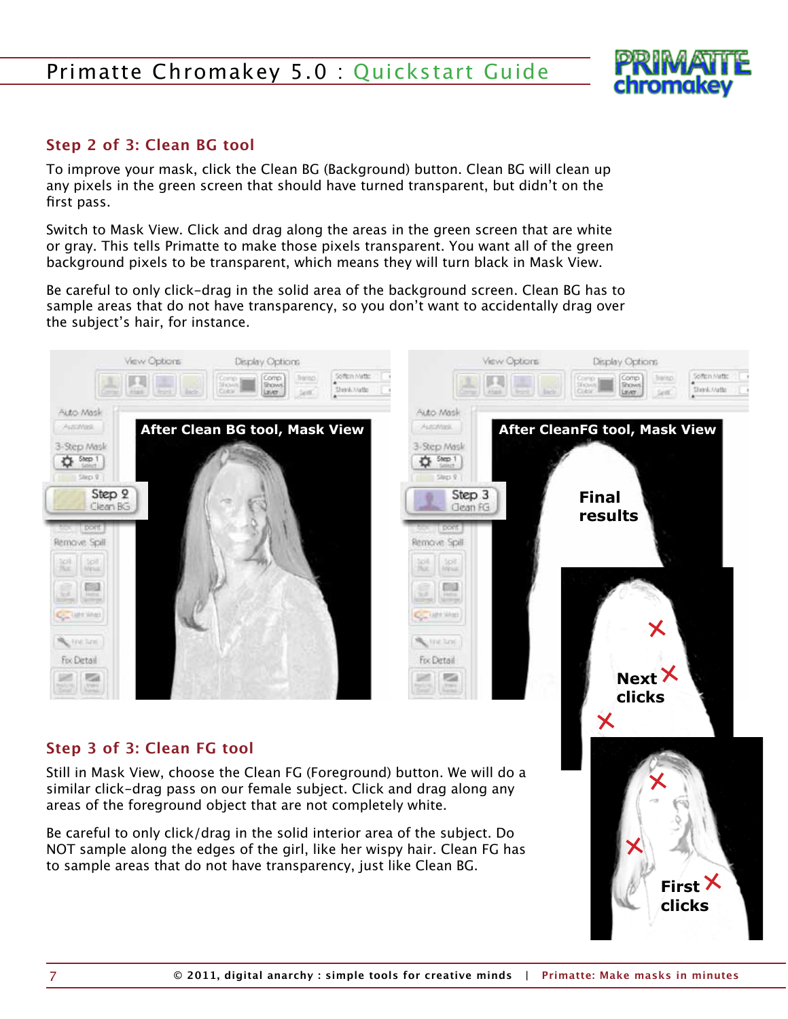

**First clicks**

#### <span id="page-6-0"></span>**Step 2 of 3: Clean BG tool**

To improve your mask, click the Clean BG (Background) button. Clean BG will clean up any pixels in the green screen that should have turned transparent, but didn't on the first pass.

Switch to Mask View. Click and drag along the areas in the green screen that are white or gray. This tells Primatte to make those pixels transparent. You want all of the green background pixels to be transparent, which means they will turn black in Mask View.

Be careful to only click-drag in the solid area of the background screen. Clean BG has to sample areas that do not have transparency, so you don't want to accidentally drag over the subject's hair, for instance.



#### **Step 3 of 3: Clean FG tool**

Still in Mask View, choose the Clean FG (Foreground) button. We will do a similar click-drag pass on our female subject. Click and drag along any areas of the foreground object that are not completely white.

Be careful to only click/drag in the solid interior area of the subject. Do NOT sample along the edges of the girl, like her wispy hair. Clean FG has to sample areas that do not have transparency, just like Clean BG.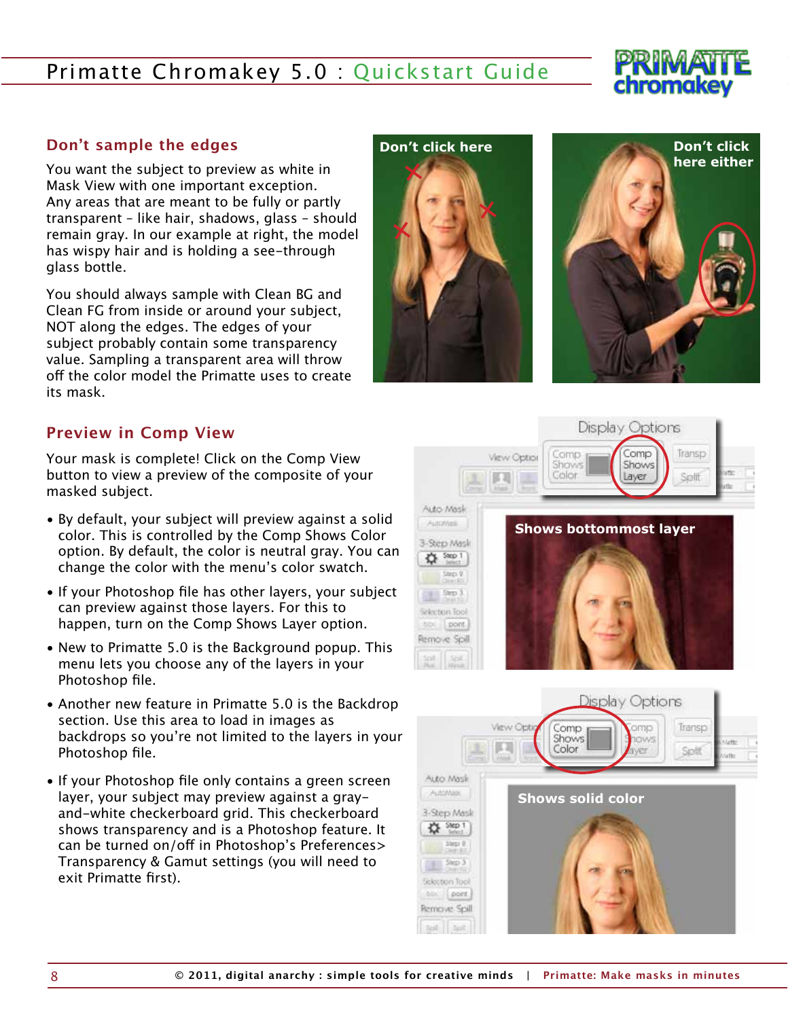# chromakev

#### <span id="page-7-0"></span>**Don't sample the edges**

You want the subject to preview as white in Mask View with one important exception. Any areas that are meant to be fully or partly transparent – like hair, shadows, glass – should remain gray. In our example at right, the model has wispy hair and is holding a see-through glass bottle.

You should always sample with Clean BG and Clean FG from inside or around your subject, NOT along the edges. The edges of your subject probably contain some transparency value. Sampling a transparent area will throw off the color model the Primatte uses to create its mask.





#### **Preview in Comp View**

Your mask is complete! Click on the Comp View button to view a preview of the composite of your masked subject.

- By default, your subject will preview against a solid color. This is controlled by the Comp Shows Color option. By default, the color is neutral gray. You can change the color with the menu's color swatch.
- If your Photoshop file has other layers, your subject can preview against those layers. For this to happen, turn on the Comp Shows Layer option.
- New to Primatte 5.0 is the Background popup. This menu lets you choose any of the layers in your Photoshop file.
- Another new feature in Primatte 5.0 is the Backdrop section. Use this area to load in images as backdrops so you're not limited to the layers in your Photoshop file.
- If your Photoshop file only contains a green screen layer, your subject may preview against a grayand-white checkerboard grid. This checkerboard shows transparency and is a Photoshop feature. It can be turned on/off in Photoshop's Preferences> Transparency & Gamut settings (you will need to exit Primatte first).



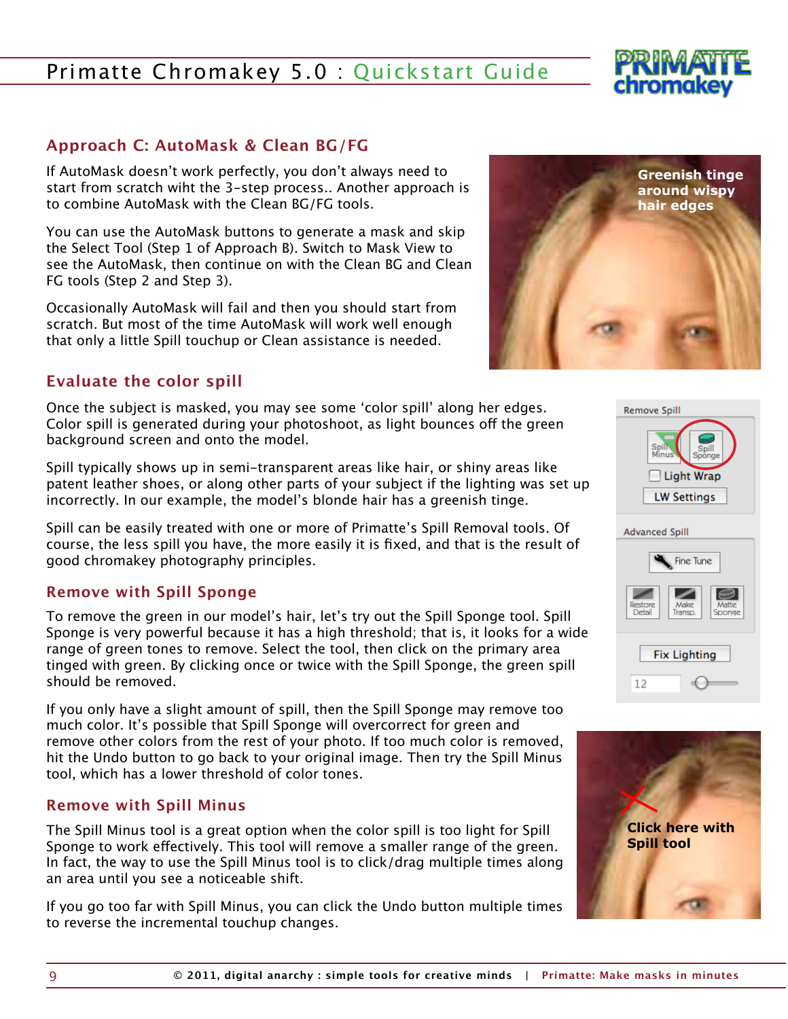#### 9 **© 2011, digital anarchy : simple tools for creative minds | Primatte: Make masks in minutes**

# <span id="page-8-0"></span>Primatte Chromakey 5.0 : Quickstart Guide

#### **Approach C: AutoMask & Clean BG/FG**

If AutoMask doesn't work perfectly, you don't always need to start from scratch wiht the 3-step process.. Another approach is to combine AutoMask with the Clean BG/FG tools.

You can use the AutoMask buttons to generate a mask and skip the Select Tool (Step 1 of Approach B). Switch to Mask View to see the AutoMask, then continue on with the Clean BG and Clean FG tools (Step 2 and Step 3).

Occasionally AutoMask will fail and then you should start from scratch. But most of the time AutoMask will work well enough that only a little Spill touchup or Clean assistance is needed.

#### **Evaluate the color spill**

Once the subject is masked, you may see some 'color spill' along her edges. Color spill is generated during your photoshoot, as light bounces off the green background screen and onto the model.

Spill typically shows up in semi-transparent areas like hair, or shiny areas like patent leather shoes, or along other parts of your subject if the lighting was set up incorrectly. In our example, the model's blonde hair has a greenish tinge.

Spill can be easily treated with one or more of Primatte's Spill Removal tools. Of course, the less spill you have, the more easily it is fixed, and that is the result of good chromakey photography principles.

#### **Remove with Spill Sponge**

To remove the green in our model's hair, let's try out the Spill Sponge tool. Spill Sponge is very powerful because it has a high threshold; that is, it looks for a wide range of green tones to remove. Select the tool, then click on the primary area tinged with green. By clicking once or twice with the Spill Sponge, the green spill should be removed.

If you only have a slight amount of spill, then the Spill Sponge may remove too much color. It's possible that Spill Sponge will overcorrect for green and remove other colors from the rest of your photo. If too much color is removed, hit the Undo button to go back to your original image. Then try the Spill Minus tool, which has a lower threshold of color tones.

#### **Remove with Spill Minus**

The Spill Minus tool is a great option when the color spill is too light for Spill Sponge to work effectively. This tool will remove a smaller range of the green. In fact, the way to use the Spill Minus tool is to click/drag multiple times along an area until you see a noticeable shift.

If you go too far with Spill Minus, you can click the Undo button multiple times to reverse the incremental touchup changes.





**Remove Spill** 





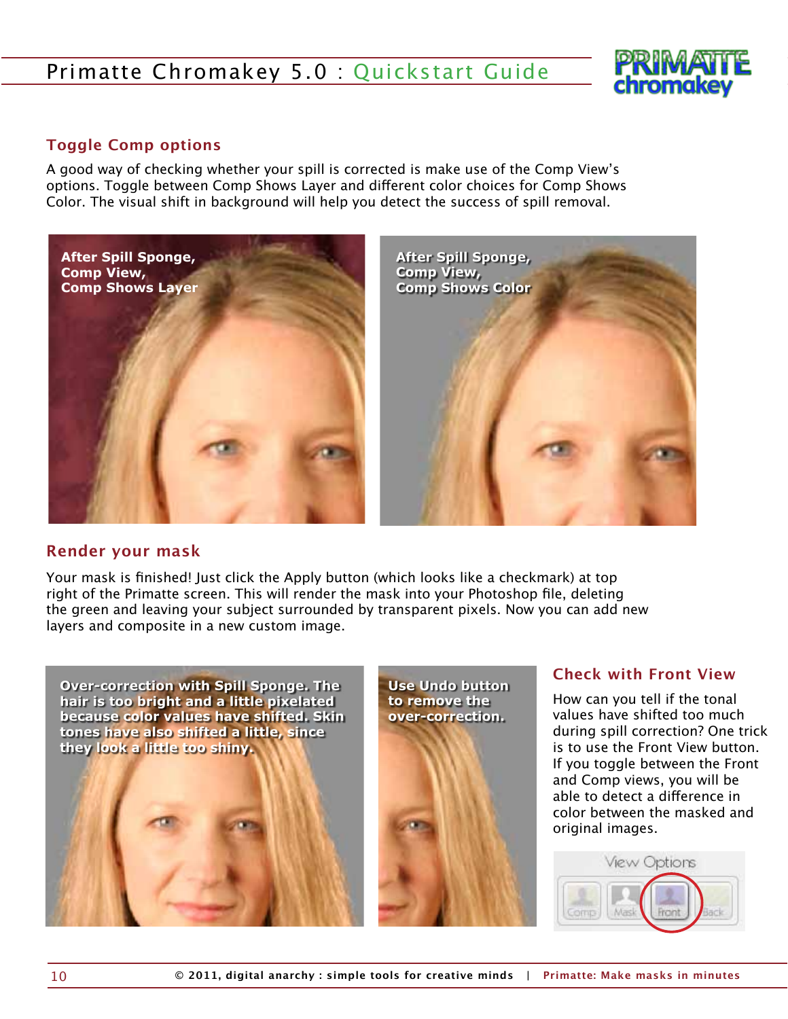

#### <span id="page-9-0"></span>**Toggle Comp options**

A good way of checking whether your spill is corrected is make use of the Comp View's options. Toggle between Comp Shows Layer and different color choices for Comp Shows Color. The visual shift in background will help you detect the success of spill removal.



#### **Render your mask**

Your mask is finished! Just click the Apply button (which looks like a checkmark) at top right of the Primatte screen. This will render the mask into your Photoshop file, deleting the green and leaving your subject surrounded by transparent pixels. Now you can add new layers and composite in a new custom image.



**Use Undo button to remove the over-correction.**

#### **Check with Front View**

How can you tell if the tonal values have shifted too much during spill correction? One trick is to use the Front View button. If you toggle between the Front and Comp views, you will be able to detect a difference in color between the masked and original images.